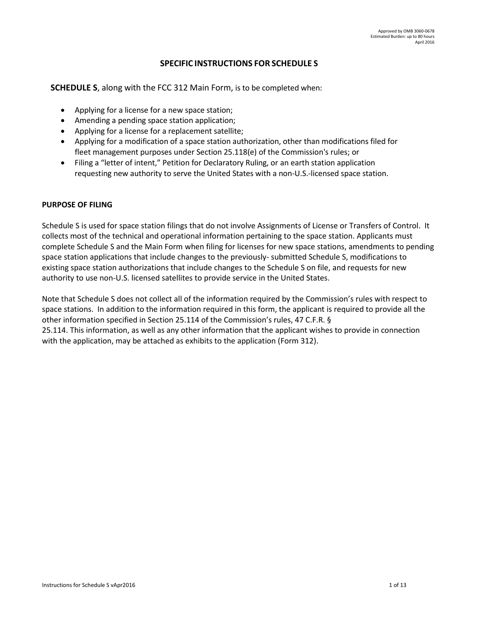# **SPECIFIC INSTRUCTIONS FOR SCHEDULE S**

**SCHEDULE S**, along with the FCC 312 Main Form, is to be completed when:

- Applying for a license for a new space station;
- Amending a pending space station application;
- Applying for a license for a replacement satellite;
- Applying for a modification of a space station authorization, other than modifications filed for fleet management purposes under Section 25.118(e) of the Commission's rules; or
- Filing a "letter of intent," Petition for Declaratory Ruling, or an earth station application requesting new authority to serve the United States with a non-U.S.-licensed space station.

#### **PURPOSE OF FILING**

Schedule S is used for space station filings that do not involve Assignments of License or Transfers of Control. It collects most of the technical and operational information pertaining to the space station. Applicants must complete Schedule S and the Main Form when filing for licenses for new space stations, amendments to pending space station applications that include changes to the previously- submitted Schedule S, modifications to existing space station authorizations that include changes to the Schedule S on file, and requests for new authority to use non-U.S. licensed satellites to provide service in the United States.

Note that Schedule S does not collect all of the information required by the Commission's rules with respect to space stations. In addition to the information required in this form, the applicant is required to provide all the other information specified in Section 25.114 of the Commission's rules, 47 C.F.R. § 25.114. This information, as well as any other information that the applicant wishes to provide in connection with the application, may be attached as exhibits to the application (Form 312).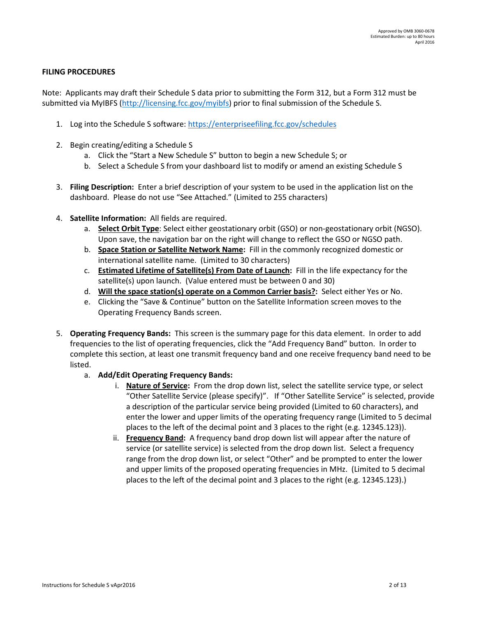### **FILING PROCEDURES**

Note: Applicants may draft their Schedule S data prior to submitting the Form 312, but a Form 312 must be submitted via MyIBFS [\(http://licensing.fcc.gov/myibfs\)](http://licensing.fcc.gov/myibfs) prior to final submission of the Schedule S.

- 1. Log into the Schedule S software: <https://enterpriseefiling.fcc.gov/schedules>
- 2. Begin creating/editing a Schedule S
	- a. Click the "Start a New Schedule S" button to begin a new Schedule S; or
	- b. Select a Schedule S from your dashboard list to modify or amend an existing Schedule S
- 3. **Filing Description:** Enter a brief description of your system to be used in the application list on the dashboard. Please do not use "See Attached." (Limited to 255 characters)
- 4. **Satellite Information:** All fields are required.
	- a. **Select Orbit Type**: Select either geostationary orbit (GSO) or non-geostationary orbit (NGSO). Upon save, the navigation bar on the right will change to reflect the GSO or NGSO path.
	- b. **Space Station or Satellite Network Name:** Fill in the commonly recognized domestic or international satellite name. (Limited to 30 characters)
	- c. **Estimated Lifetime of Satellite(s) From Date of Launch:** Fill in the life expectancy for the satellite(s) upon launch. (Value entered must be between 0 and 30)
	- d. **Will the space station(s) operate on a Common Carrier basis?:** Select either Yes or No.
	- e. Clicking the "Save & Continue" button on the Satellite Information screen moves to the Operating Frequency Bands screen.
- 5. **Operating Frequency Bands:** This screen is the summary page for this data element. In order to add frequencies to the list of operating frequencies, click the "Add Frequency Band" button. In order to complete this section, at least one transmit frequency band and one receive frequency band need to be listed.
	- a. **Add/Edit Operating Frequency Bands:** 
		- i. **Nature of Service:** From the drop down list, select the satellite service type, or select "Other Satellite Service (please specify)". If "Other Satellite Service" is selected, provide a description of the particular service being provided (Limited to 60 characters), and enter the lower and upper limits of the operating frequency range (Limited to 5 decimal places to the left of the decimal point and 3 places to the right (e.g. 12345.123)).
		- ii. **Frequency Band:** A frequency band drop down list will appear after the nature of service (or satellite service) is selected from the drop down list. Select a frequency range from the drop down list, or select "Other" and be prompted to enter the lower and upper limits of the proposed operating frequencies in MHz. (Limited to 5 decimal places to the left of the decimal point and 3 places to the right (e.g. 12345.123).)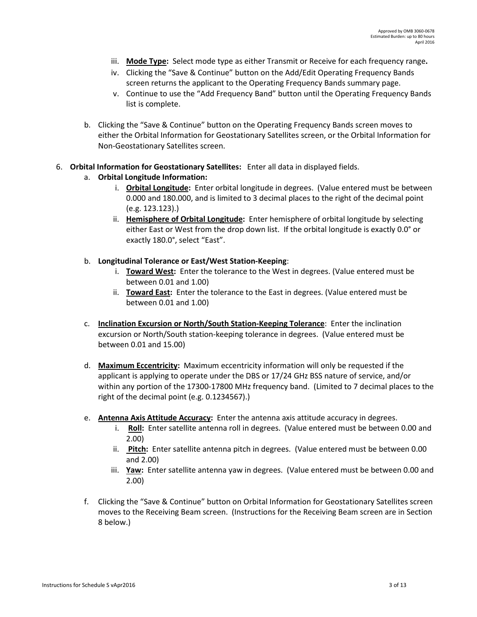- iii. **Mode Type:** Select mode type as either Transmit or Receive for each frequency range**.**
- iv. Clicking the "Save & Continue" button on the Add/Edit Operating Frequency Bands screen returns the applicant to the Operating Frequency Bands summary page.
- v. Continue to use the "Add Frequency Band" button until the Operating Frequency Bands list is complete.
- b. Clicking the "Save & Continue" button on the Operating Frequency Bands screen moves to either the Orbital Information for Geostationary Satellites screen, or the Orbital Information for Non-Geostationary Satellites screen.

### 6. **Orbital Information for Geostationary Satellites:** Enter all data in displayed fields.

### a. **Orbital Longitude Information:**

- i. **Orbital Longitude:** Enter orbital longitude in degrees. (Value entered must be between 0.000 and 180.000, and is limited to 3 decimal places to the right of the decimal point (e.g. 123.123).)
- ii. **Hemisphere of Orbital Longitude:** Enter hemisphere of orbital longitude by selecting either East or West from the drop down list. If the orbital longitude is exactly 0.0° or exactly 180.0°, select "East".

### b. **Longitudinal Tolerance or East/West Station-Keeping**:

- i. **Toward West:** Enter the tolerance to the West in degrees. (Value entered must be between 0.01 and 1.00)
- ii. **Toward East:** Enter the tolerance to the East in degrees. (Value entered must be between 0.01 and 1.00)
- c. **Inclination Excursion or North/South Station-Keeping Tolerance**: Enter the inclination excursion or North/South station-keeping tolerance in degrees. (Value entered must be between 0.01 and 15.00)
- d. **Maximum Eccentricity:** Maximum eccentricity information will only be requested if the applicant is applying to operate under the DBS or 17/24 GHz BSS nature of service, and/or within any portion of the 17300-17800 MHz frequency band. (Limited to 7 decimal places to the right of the decimal point (e.g. 0.1234567).)
- e. **Antenna Axis Attitude Accuracy:** Enter the antenna axis attitude accuracy in degrees.
	- i. Roll: Enter satellite antenna roll in degrees. (Value entered must be between 0.00 and 2.00)
	- ii. **Pitch:** Enter satellite antenna pitch in degrees. (Value entered must be between 0.00 and 2.00)
	- iii. **Yaw:** Enter satellite antenna yaw in degrees. (Value entered must be between 0.00 and 2.00)
- f. Clicking the "Save & Continue" button on Orbital Information for Geostationary Satellites screen moves to the Receiving Beam screen. (Instructions for the Receiving Beam screen are in Section 8 below.)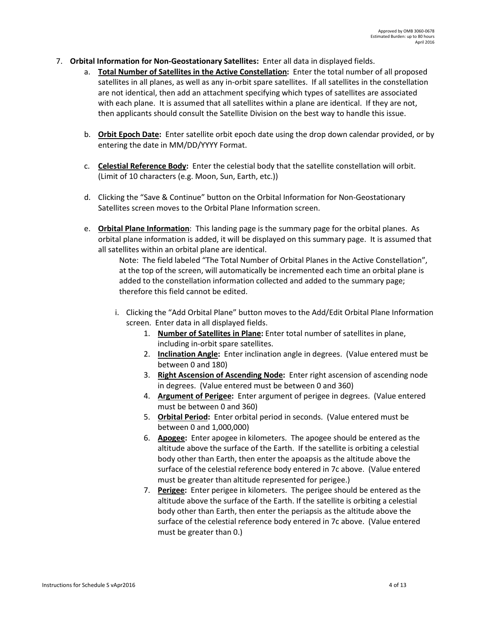- 7. **Orbital Information for Non-Geostationary Satellites:** Enter all data in displayed fields.
	- a. **Total Number of Satellites in the Active Constellation:** Enter the total number of all proposed satellites in all planes, as well as any in-orbit spare satellites. If all satellites in the constellation are not identical, then add an attachment specifying which types of satellites are associated with each plane. It is assumed that all satellites within a plane are identical. If they are not, then applicants should consult the Satellite Division on the best way to handle this issue.
	- b. **Orbit Epoch Date:** Enter satellite orbit epoch date using the drop down calendar provided, or by entering the date in MM/DD/YYYY Format.
	- c. **Celestial Reference Body:** Enter the celestial body that the satellite constellation will orbit. (Limit of 10 characters (e.g. Moon, Sun, Earth, etc.))
	- d. Clicking the "Save & Continue" button on the Orbital Information for Non-Geostationary Satellites screen moves to the Orbital Plane Information screen.
	- e. **Orbital Plane Information**: This landing page is the summary page for the orbital planes. As orbital plane information is added, it will be displayed on this summary page. It is assumed that all satellites within an orbital plane are identical.

Note: The field labeled "The Total Number of Orbital Planes in the Active Constellation", at the top of the screen, will automatically be incremented each time an orbital plane is added to the constellation information collected and added to the summary page; therefore this field cannot be edited.

- i. Clicking the "Add Orbital Plane" button moves to the Add/Edit Orbital Plane Information screen. Enter data in all displayed fields.
	- 1. **Number of Satellites in Plane:** Enter total number of satellites in plane, including in-orbit spare satellites.
	- 2. **Inclination Angle:** Enter inclination angle in degrees. (Value entered must be between 0 and 180)
	- 3. **Right Ascension of Ascending Node:** Enter right ascension of ascending node in degrees. (Value entered must be between 0 and 360)
	- 4. **Argument of Perigee:** Enter argument of perigee in degrees. (Value entered must be between 0 and 360)
	- 5. **Orbital Period:** Enter orbital period in seconds. (Value entered must be between 0 and 1,000,000)
	- 6. **Apogee:** Enter apogee in kilometers. The apogee should be entered as the altitude above the surface of the Earth. If the satellite is orbiting a celestial body other than Earth, then enter the apoapsis as the altitude above the surface of the celestial reference body entered in 7c above. (Value entered must be greater than altitude represented for perigee.)
	- 7. **Perigee:** Enter perigee in kilometers. The perigee should be entered as the altitude above the surface of the Earth. If the satellite is orbiting a celestial body other than Earth, then enter the periapsis as the altitude above the surface of the celestial reference body entered in 7c above. (Value entered must be greater than 0.)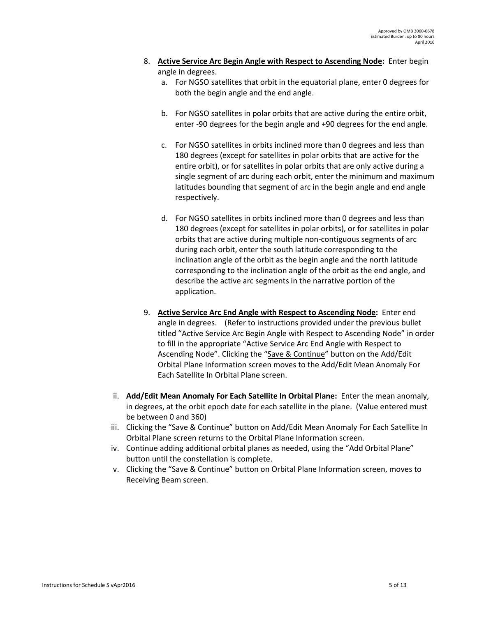- 8. **Active Service Arc Begin Angle with Respect to Ascending Node:** Enter begin angle in degrees.
	- a. For NGSO satellites that orbit in the equatorial plane, enter 0 degrees for both the begin angle and the end angle.
	- b. For NGSO satellites in polar orbits that are active during the entire orbit, enter -90 degrees for the begin angle and +90 degrees for the end angle.
	- c. For NGSO satellites in orbits inclined more than 0 degrees and less than 180 degrees (except for satellites in polar orbits that are active for the entire orbit), or for satellites in polar orbits that are only active during a single segment of arc during each orbit, enter the minimum and maximum latitudes bounding that segment of arc in the begin angle and end angle respectively.
	- d. For NGSO satellites in orbits inclined more than 0 degrees and less than 180 degrees (except for satellites in polar orbits), or for satellites in polar orbits that are active during multiple non-contiguous segments of arc during each orbit, enter the south latitude corresponding to the inclination angle of the orbit as the begin angle and the north latitude corresponding to the inclination angle of the orbit as the end angle, and describe the active arc segments in the narrative portion of the application.
- 9. **Active Service Arc End Angle with Respect to Ascending Node:** Enter end angle in degrees. (Refer to instructions provided under the previous bullet titled "Active Service Arc Begin Angle with Respect to Ascending Node" in order to fill in the appropriate "Active Service Arc End Angle with Respect to Ascending Node". Clicking the "Save & Continue" button on the Add/Edit Orbital Plane Information screen moves to the Add/Edit Mean Anomaly For Each Satellite In Orbital Plane screen.
- ii. **Add/Edit Mean Anomaly For Each Satellite In Orbital Plane:** Enter the mean anomaly, in degrees, at the orbit epoch date for each satellite in the plane. (Value entered must be between 0 and 360)
- iii. Clicking the "Save & Continue" button on Add/Edit Mean Anomaly For Each Satellite In Orbital Plane screen returns to the Orbital Plane Information screen.
- iv. Continue adding additional orbital planes as needed, using the "Add Orbital Plane" button until the constellation is complete.
- v. Clicking the "Save & Continue" button on Orbital Plane Information screen, moves to Receiving Beam screen.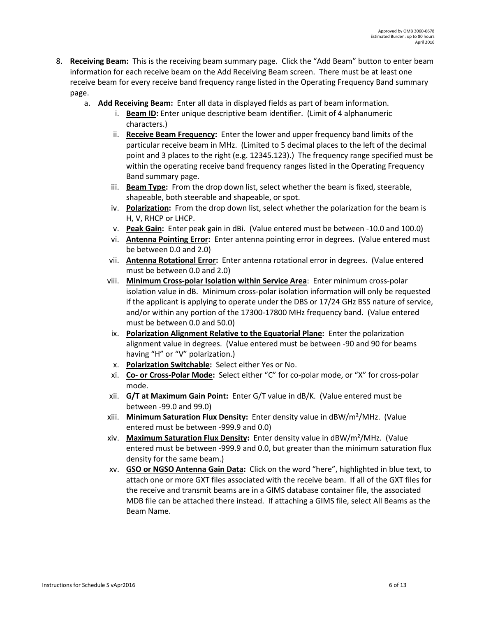- 8. **Receiving Beam:** This is the receiving beam summary page. Click the "Add Beam" button to enter beam information for each receive beam on the Add Receiving Beam screen. There must be at least one receive beam for every receive band frequency range listed in the Operating Frequency Band summary page.
	- a. **Add Receiving Beam:** Enter all data in displayed fields as part of beam information.
		- i. **Beam ID:** Enter unique descriptive beam identifier. (Limit of 4 alphanumeric characters.)
		- ii. **Receive Beam Frequency:** Enter the lower and upper frequency band limits of the particular receive beam in MHz. (Limited to 5 decimal places to the left of the decimal point and 3 places to the right (e.g. 12345.123).) The frequency range specified must be within the operating receive band frequency ranges listed in the Operating Frequency Band summary page.
		- iii. **Beam Type:** From the drop down list, select whether the beam is fixed, steerable, shapeable, both steerable and shapeable, or spot.
		- iv. **Polarization:** From the drop down list, select whether the polarization for the beam is H, V, RHCP or LHCP.
		- v. **Peak Gain:** Enter peak gain in dBi. (Value entered must be between -10.0 and 100.0)
		- vi. **Antenna Pointing Error:** Enter antenna pointing error in degrees. (Value entered must be between 0.0 and 2.0)
		- vii. **Antenna Rotational Error:** Enter antenna rotational error in degrees. (Value entered must be between 0.0 and 2.0)
		- viii. **Minimum Cross-polar Isolation within Service Area**: Enter minimum cross-polar isolation value in dB. Minimum cross-polar isolation information will only be requested if the applicant is applying to operate under the DBS or 17/24 GHz BSS nature of service, and/or within any portion of the 17300-17800 MHz frequency band. (Value entered must be between 0.0 and 50.0)
		- ix. **Polarization Alignment Relative to the Equatorial Plane:** Enter the polarization alignment value in degrees. (Value entered must be between -90 and 90 for beams having "H" or "V" polarization.)
		- x. **Polarization Switchable:** Select either Yes or No.
		- xi. **Co- or Cross-Polar Mode:** Select either "C" for co-polar mode, or "X" for cross-polar mode.
		- xii. **G/T at Maximum Gain Point:** Enter G/T value in dB/K. (Value entered must be between -99.0 and 99.0)
		- xiii. **Minimum Saturation Flux Density:** Enter density value in dBW/m²/MHz. (Value entered must be between -999.9 and 0.0)
		- xiv. **Maximum Saturation Flux Density:** Enter density value in dBW/m²/MHz. (Value entered must be between -999.9 and 0.0, but greater than the minimum saturation flux density for the same beam.)
		- xv. **GSO or NGSO Antenna Gain Data:** Click on the word "here", highlighted in blue text, to attach one or more GXT files associated with the receive beam. If all of the GXT files for the receive and transmit beams are in a GIMS database container file, the associated MDB file can be attached there instead. If attaching a GIMS file, select All Beams as the Beam Name.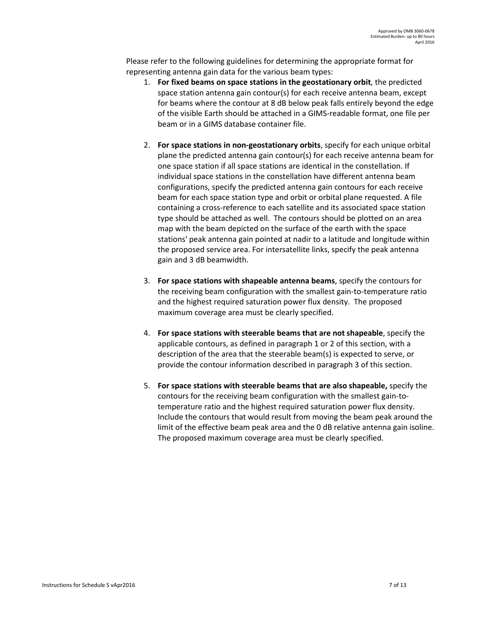Please refer to the following guidelines for determining the appropriate format for representing antenna gain data for the various beam types:

- 1. **For fixed beams on space stations in the geostationary orbit**, the predicted space station antenna gain contour(s) for each receive antenna beam, except for beams where the contour at 8 dB below peak falls entirely beyond the edge of the visible Earth should be attached in a GIMS-readable format, one file per beam or in a GIMS database container file.
- 2. **For space stations in non-geostationary orbits**, specify for each unique orbital plane the predicted antenna gain contour(s) for each receive antenna beam for one space station if all space stations are identical in the constellation. If individual space stations in the constellation have different antenna beam configurations, specify the predicted antenna gain contours for each receive beam for each space station type and orbit or orbital plane requested. A file containing a cross-reference to each satellite and its associated space station type should be attached as well. The contours should be plotted on an area map with the beam depicted on the surface of the earth with the space stations' peak antenna gain pointed at nadir to a latitude and longitude within the proposed service area. For intersatellite links, specify the peak antenna gain and 3 dB beamwidth.
- 3. **For space stations with shapeable antenna beams**, specify the contours for the receiving beam configuration with the smallest gain-to-temperature ratio and the highest required saturation power flux density. The proposed maximum coverage area must be clearly specified.
- 4. **For space stations with steerable beams that are not shapeable**, specify the applicable contours, as defined in paragraph 1 or 2 of this section, with a description of the area that the steerable beam(s) is expected to serve, or provide the contour information described in paragraph 3 of this section.
- 5. **For space stations with steerable beams that are also shapeable,** specify the contours for the receiving beam configuration with the smallest gain-totemperature ratio and the highest required saturation power flux density. Include the contours that would result from moving the beam peak around the limit of the effective beam peak area and the 0 dB relative antenna gain isoline. The proposed maximum coverage area must be clearly specified.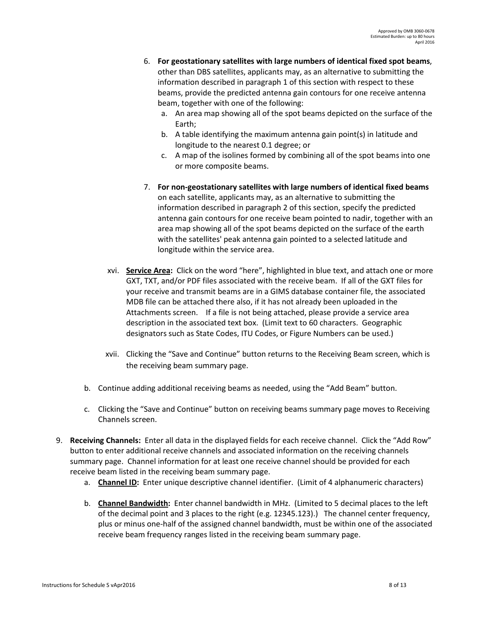- 6. **For geostationary satellites with large numbers of identical fixed spot beams**, other than DBS satellites, applicants may, as an alternative to submitting the information described in paragraph 1 of this section with respect to these beams, provide the predicted antenna gain contours for one receive antenna beam, together with one of the following:
	- a. An area map showing all of the spot beams depicted on the surface of the Earth;
	- b. A table identifying the maximum antenna gain point(s) in latitude and longitude to the nearest 0.1 degree; or
	- c. A map of the isolines formed by combining all of the spot beams into one or more composite beams.
- 7. **For non-geostationary satellites with large numbers of identical fixed beams**  on each satellite, applicants may, as an alternative to submitting the information described in paragraph 2 of this section, specify the predicted antenna gain contours for one receive beam pointed to nadir, together with an area map showing all of the spot beams depicted on the surface of the earth with the satellites' peak antenna gain pointed to a selected latitude and longitude within the service area.
- xvi. **Service Area:** Click on the word "here", highlighted in blue text, and attach one or more GXT, TXT, and/or PDF files associated with the receive beam. If all of the GXT files for your receive and transmit beams are in a GIMS database container file, the associated MDB file can be attached there also, if it has not already been uploaded in the Attachments screen. If a file is not being attached, please provide a service area description in the associated text box. (Limit text to 60 characters. Geographic designators such as State Codes, ITU Codes, or Figure Numbers can be used.)
- xvii. Clicking the "Save and Continue" button returns to the Receiving Beam screen, which is the receiving beam summary page.
- b. Continue adding additional receiving beams as needed, using the "Add Beam" button.
- c. Clicking the "Save and Continue" button on receiving beams summary page moves to Receiving Channels screen.
- 9. **Receiving Channels:** Enter all data in the displayed fields for each receive channel. Click the "Add Row" button to enter additional receive channels and associated information on the receiving channels summary page. Channel information for at least one receive channel should be provided for each receive beam listed in the receiving beam summary page.
	- a. **Channel ID:** Enter unique descriptive channel identifier. (Limit of 4 alphanumeric characters)
	- b. **Channel Bandwidth:** Enter channel bandwidth in MHz. (Limited to 5 decimal places to the left of the decimal point and 3 places to the right (e.g. 12345.123).) The channel center frequency, plus or minus one-half of the assigned channel bandwidth, must be within one of the associated receive beam frequency ranges listed in the receiving beam summary page.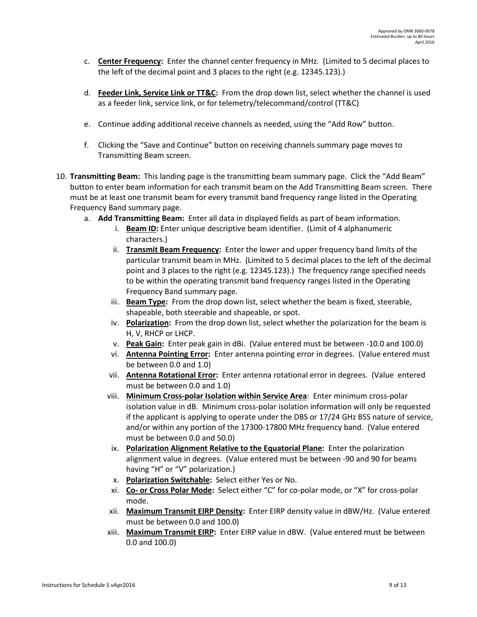- c. **Center Frequency:** Enter the channel center frequency in MHz. (Limited to 5 decimal places to the left of the decimal point and 3 places to the right (e.g. 12345.123).)
- d. **Feeder Link, Service Link or TT&C:** From the drop down list, select whether the channel is used as a feeder link, service link, or for telemetry/telecommand/control (TT&C)
- e. Continue adding additional receive channels as needed, using the "Add Row" button.
- f. Clicking the "Save and Continue" button on receiving channels summary page moves to Transmitting Beam screen.
- 10. **Transmitting Beam:** This landing page is the transmitting beam summary page. Click the "Add Beam" button to enter beam information for each transmit beam on the Add Transmitting Beam screen. There must be at least one transmit beam for every transmit band frequency range listed in the Operating Frequency Band summary page.
	- a. **Add Transmitting Beam:** Enter all data in displayed fields as part of beam information.
		- i. **Beam ID:** Enter unique descriptive beam identifier. (Limit of 4 alphanumeric characters.)
		- ii. **Transmit Beam Frequency:** Enter the lower and upper frequency band limits of the particular transmit beam in MHz. (Limited to 5 decimal places to the left of the decimal point and 3 places to the right (e.g. 12345.123).) The frequency range specified needs to be within the operating transmit band frequency ranges listed in the Operating Frequency Band summary page.
		- iii. **Beam Type:** From the drop down list, select whether the beam is fixed, steerable, shapeable, both steerable and shapeable, or spot.
		- iv. **Polarization:** From the drop down list, select whether the polarization for the beam is H, V, RHCP or LHCP.
		- v. **Peak Gain:** Enter peak gain in dBi. (Value entered must be between -10.0 and 100.0)
		- vi. **Antenna Pointing Error:** Enter antenna pointing error in degrees. (Value entered must be between 0.0 and 1.0)
		- vii. **Antenna Rotational Error:** Enter antenna rotational error in degrees. (Value entered must be between 0.0 and 1.0)
		- viii. **Minimum Cross-polar Isolation within Service Area**: Enter minimum cross-polar isolation value in dB. Minimum cross-polar isolation information will only be requested if the applicant is applying to operate under the DBS or 17/24 GHz BSS nature of service, and/or within any portion of the 17300-17800 MHz frequency band. (Value entered must be between 0.0 and 50.0)
		- ix. **Polarization Alignment Relative to the Equatorial Plane:** Enter the polarization alignment value in degrees. (Value entered must be between -90 and 90 for beams having "H" or "V" polarization.)
		- x. **Polarization Switchable:** Select either Yes or No.
		- xi. **Co- or Cross Polar Mode:** Select either "C" for co-polar mode, or "X" for cross-polar mode.
		- xii. **Maximum Transmit EIRP Density:** Enter EIRP density value in dBW/Hz. (Value entered must be between 0.0 and 100.0)
		- xiii. **Maximum Transmit EIRP:** Enter EIRP value in dBW. (Value entered must be between 0.0 and 100.0)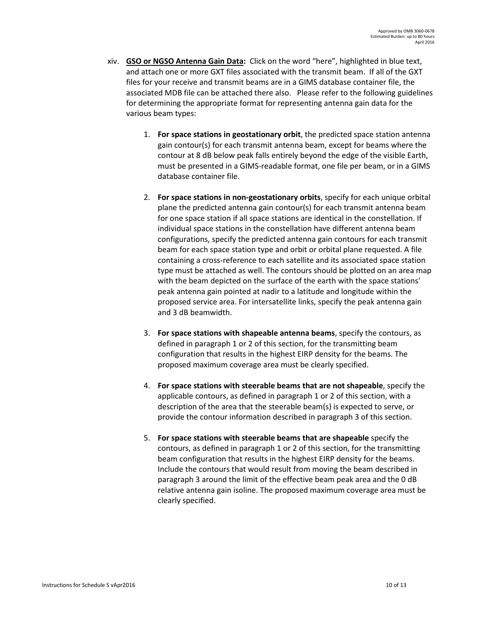- xiv. **GSO or NGSO Antenna Gain Data:** Click on the word "here", highlighted in blue text, and attach one or more GXT files associated with the transmit beam. If all of the GXT files for your receive and transmit beams are in a GIMS database container file, the associated MDB file can be attached there also. Please refer to the following guidelines for determining the appropriate format for representing antenna gain data for the various beam types:
	- 1. **For space stations in geostationary orbit**, the predicted space station antenna gain contour(s) for each transmit antenna beam, except for beams where the contour at 8 dB below peak falls entirely beyond the edge of the visible Earth, must be presented in a GIMS-readable format, one file per beam, or in a GIMS database container file.
	- 2. **For space stations in non-geostationary orbits**, specify for each unique orbital plane the predicted antenna gain contour(s) for each transmit antenna beam for one space station if all space stations are identical in the constellation. If individual space stations in the constellation have different antenna beam configurations, specify the predicted antenna gain contours for each transmit beam for each space station type and orbit or orbital plane requested. A file containing a cross-reference to each satellite and its associated space station type must be attached as well. The contours should be plotted on an area map with the beam depicted on the surface of the earth with the space stations' peak antenna gain pointed at nadir to a latitude and longitude within the proposed service area. For intersatellite links, specify the peak antenna gain and 3 dB beamwidth.
	- 3. **For space stations with shapeable antenna beams**, specify the contours, as defined in paragraph 1 or 2 of this section, for the transmitting beam configuration that results in the highest EIRP density for the beams. The proposed maximum coverage area must be clearly specified.
	- 4. **For space stations with steerable beams that are not shapeable**, specify the applicable contours, as defined in paragraph 1 or 2 of this section, with a description of the area that the steerable beam(s) is expected to serve, or provide the contour information described in paragraph 3 of this section.
	- 5. **For space stations with steerable beams that are shapeable** specify the contours, as defined in paragraph 1 or 2 of this section, for the transmitting beam configuration that results in the highest EIRP density for the beams. Include the contours that would result from moving the beam described in paragraph 3 around the limit of the effective beam peak area and the 0 dB relative antenna gain isoline. The proposed maximum coverage area must be clearly specified.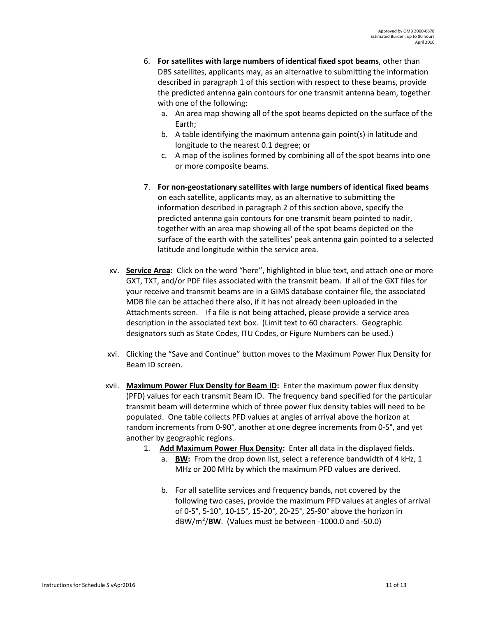- 6. **For satellites with large numbers of identical fixed spot beams**, other than DBS satellites, applicants may, as an alternative to submitting the information described in paragraph 1 of this section with respect to these beams, provide the predicted antenna gain contours for one transmit antenna beam, together with one of the following:
	- a. An area map showing all of the spot beams depicted on the surface of the Earth;
	- b. A table identifying the maximum antenna gain point(s) in latitude and longitude to the nearest 0.1 degree; or
	- c. A map of the isolines formed by combining all of the spot beams into one or more composite beams.
- 7. **For non-geostationary satellites with large numbers of identical fixed beams** on each satellite, applicants may, as an alternative to submitting the information described in paragraph 2 of this section above, specify the predicted antenna gain contours for one transmit beam pointed to nadir, together with an area map showing all of the spot beams depicted on the surface of the earth with the satellites' peak antenna gain pointed to a selected latitude and longitude within the service area.
- xv. **Service Area:** Click on the word "here", highlighted in blue text, and attach one or more GXT, TXT, and/or PDF files associated with the transmit beam. If all of the GXT files for your receive and transmit beams are in a GIMS database container file, the associated MDB file can be attached there also, if it has not already been uploaded in the Attachments screen. If a file is not being attached, please provide a service area description in the associated text box. (Limit text to 60 characters. Geographic designators such as State Codes, ITU Codes, or Figure Numbers can be used.)
- xvi. Clicking the "Save and Continue" button moves to the Maximum Power Flux Density for Beam ID screen.
- xvii. **Maximum Power Flux Density for Beam ID:** Enter the maximum power flux density (PFD) values for each transmit Beam ID. The frequency band specified for the particular transmit beam will determine which of three power flux density tables will need to be populated. One table collects PFD values at angles of arrival above the horizon at random increments from 0-90°, another at one degree increments from 0-5°, and yet another by geographic regions.
	- 1. **Add Maximum Power Flux Density:** Enter all data in the displayed fields.
		- a. **BW:** From the drop down list, select a reference bandwidth of 4 kHz, 1 MHz or 200 MHz by which the maximum PFD values are derived.
		- b. For all satellite services and frequency bands, not covered by the following two cases, provide the maximum PFD values at angles of arrival of 0-5°, 5-10°, 10-15°, 15-20°, 20-25°, 25-90° above the horizon in dBW/m²/**BW**. (Values must be between -1000.0 and -50.0)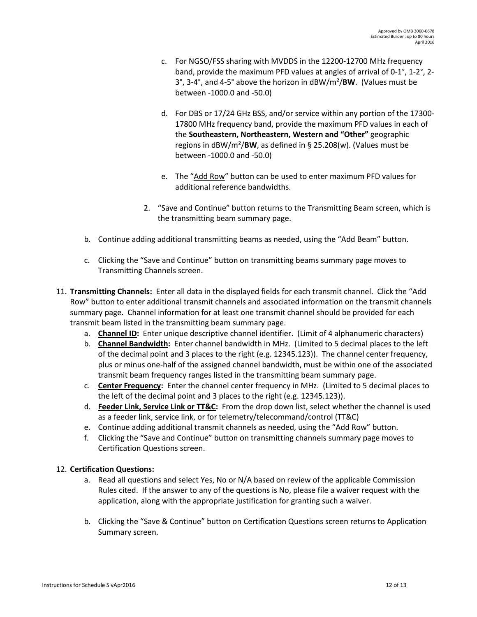- c. For NGSO/FSS sharing with MVDDS in the 12200-12700 MHz frequency band, provide the maximum PFD values at angles of arrival of 0-1°, 1-2°, 2- 3°, 3-4°, and 4-5° above the horizon in dBW/m²/**BW**. (Values must be between -1000.0 and -50.0)
- d. For DBS or 17/24 GHz BSS, and/or service within any portion of the 17300- 17800 MHz frequency band, provide the maximum PFD values in each of the **Southeastern, Northeastern, Western and "Other"** geographic regions in dBW/m²/**BW**, as defined in § 25.208(w). (Values must be between -1000.0 and -50.0)
- e. The "Add Row" button can be used to enter maximum PFD values for additional reference bandwidths.
- 2. "Save and Continue" button returns to the Transmitting Beam screen, which is the transmitting beam summary page.
- b. Continue adding additional transmitting beams as needed, using the "Add Beam" button.
- c. Clicking the "Save and Continue" button on transmitting beams summary page moves to Transmitting Channels screen.
- 11. **Transmitting Channels:** Enter all data in the displayed fields for each transmit channel. Click the "Add Row" button to enter additional transmit channels and associated information on the transmit channels summary page. Channel information for at least one transmit channel should be provided for each transmit beam listed in the transmitting beam summary page.
	- a. **Channel ID:** Enter unique descriptive channel identifier. (Limit of 4 alphanumeric characters)
	- b. **Channel Bandwidth:** Enter channel bandwidth in MHz. (Limited to 5 decimal places to the left of the decimal point and 3 places to the right (e.g. 12345.123)). The channel center frequency, plus or minus one-half of the assigned channel bandwidth, must be within one of the associated transmit beam frequency ranges listed in the transmitting beam summary page.
	- c. **Center Frequency:** Enter the channel center frequency in MHz. (Limited to 5 decimal places to the left of the decimal point and 3 places to the right (e.g. 12345.123)).
	- d. **Feeder Link, Service Link or TT&C:** From the drop down list, select whether the channel is used as a feeder link, service link, or for telemetry/telecommand/control (TT&C)
	- e. Continue adding additional transmit channels as needed, using the "Add Row" button.
	- f. Clicking the "Save and Continue" button on transmitting channels summary page moves to Certification Questions screen.

# 12. **Certification Questions:**

- a. Read all questions and select Yes, No or N/A based on review of the applicable Commission Rules cited. If the answer to any of the questions is No, please file a waiver request with the application, along with the appropriate justification for granting such a waiver.
- b. Clicking the "Save & Continue" button on Certification Questions screen returns to Application Summary screen.